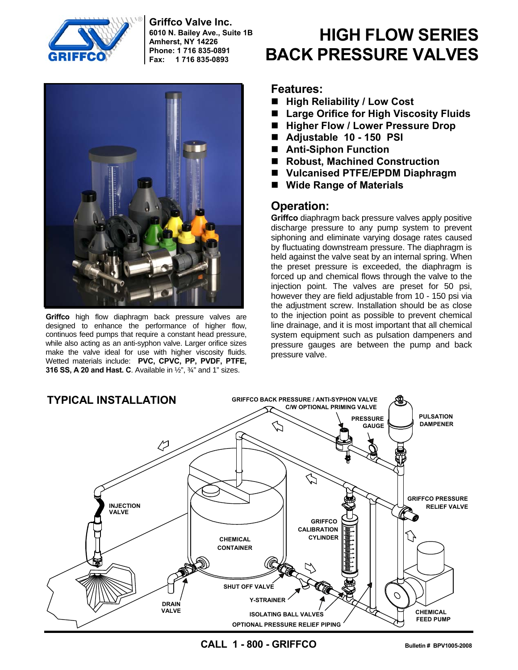

**Griffco Valve Inc. 6010 N. Bailey Ave., Suite 1B Amherst, NY 14226 Phone: 1 716 835-0891 Fax: 1 716 835-0893**



**Griffco** high flow diaphragm back pressure valves are designed to enhance the performance of higher flow, continuos feed pumps that require a constant head pressure, while also acting as an anti-syphon valve. Larger orifice sizes make the valve ideal for use with higher viscosity fluids. Wetted materials include: **PVC, CPVC, PP, PVDF, PTFE, 316 SS, A 20 and Hast. C**. Available in ½", ¾" and 1" sizes.

# **HIGH FLOW SERIES BACK PRESSURE VALVES**

#### **Features:**

- High Reliability / Low Cost
- Large Orifice for High Viscosity Fluids
- Higher Flow / Lower Pressure Drop
- **Adjustable 10 150 PSI**
- **Anti-Siphon Function**
- Robust, Machined Construction
- **Vulcanised PTFE/EPDM Diaphragm**
- **Wide Range of Materials**

### **Operation:**

**Griffco** diaphragm back pressure valves apply positive discharge pressure to any pump system to prevent siphoning and eliminate varying dosage rates caused by fluctuating downstream pressure. The diaphragm is held against the valve seat by an internal spring. When the preset pressure is exceeded, the diaphragm is forced up and chemical flows through the valve to the injection point. The valves are preset for 50 psi, however they are field adjustable from 10 - 150 psi via the adjustment screw. Installation should be as close to the injection point as possible to prevent chemical line drainage, and it is most important that all chemical system equipment such as pulsation dampeners and pressure gauges are between the pump and back pressure valve.



**CALL 1 - 800 - GRIFFCO Bulletin # BPV1005-2008**